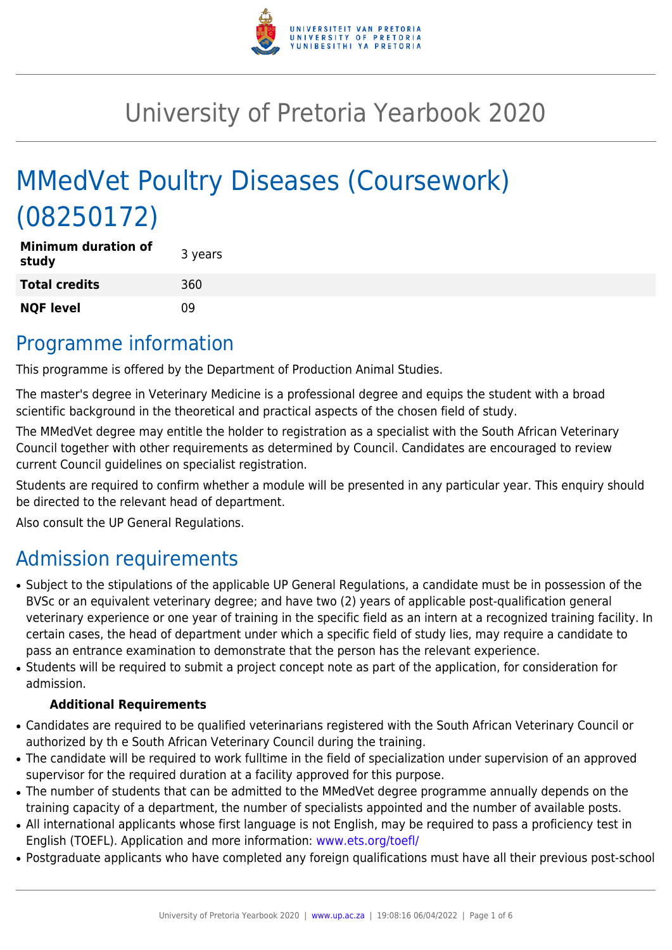

# University of Pretoria Yearbook 2020

# MMedVet Poultry Diseases (Coursework) (08250172)

| <b>Minimum duration of</b><br>study | 3 years |
|-------------------------------------|---------|
| <b>Total credits</b>                | 360     |
| <b>NQF level</b>                    | 09      |

# Programme information

This programme is offered by the Department of Production Animal Studies.

The master's degree in Veterinary Medicine is a professional degree and equips the student with a broad scientific background in the theoretical and practical aspects of the chosen field of study.

The MMedVet degree may entitle the holder to registration as a specialist with the South African Veterinary Council together with other requirements as determined by Council. Candidates are encouraged to review current Council guidelines on specialist registration.

Students are required to confirm whether a module will be presented in any particular year. This enquiry should be directed to the relevant head of department.

Also consult the UP General Regulations.

# Admission requirements

- Subject to the stipulations of the applicable UP General Regulations, a candidate must be in possession of the BVSc or an equivalent veterinary degree; and have two (2) years of applicable post-qualification general veterinary experience or one year of training in the specific field as an intern at a recognized training facility. In certain cases, the head of department under which a specific field of study lies, may require a candidate to pass an entrance examination to demonstrate that the person has the relevant experience.
- Students will be required to submit a project concept note as part of the application, for consideration for admission.

### **Additional Requirements**

- Candidates are required to be qualified veterinarians registered with the South African Veterinary Council or authorized by th e South African Veterinary Council during the training.
- The candidate will be required to work fulltime in the field of specialization under supervision of an approved supervisor for the required duration at a facility approved for this purpose.
- The number of students that can be admitted to the MMedVet degree programme annually depends on the training capacity of a department, the number of specialists appointed and the number of available posts.
- All international applicants whose first language is not English, may be required to pass a proficiency test in English (TOEFL). Application and more information: [www.ets.org/toefl/](http://www.ets.org/toefl/)
- Postgraduate applicants who have completed any foreign qualifications must have all their previous post-school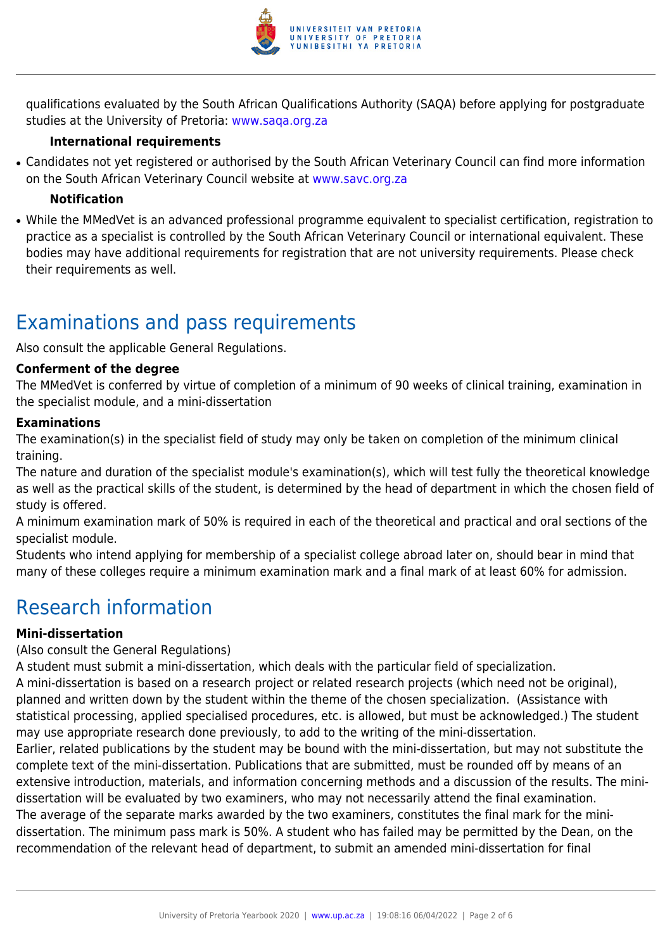

qualifications evaluated by the South African Qualifications Authority (SAQA) before applying for postgraduate studies at the University of Pretoria: [www.saqa.org.za](http://www.saqa.org.za)

### **International requirements**

• Candidates not yet registered or authorised by the South African Veterinary Council can find more information on the South African Veterinary Council website at [www.savc.org.za](http://www.savc.org.za)

### **Notification**

• While the MMedVet is an advanced professional programme equivalent to specialist certification, registration to practice as a specialist is controlled by the South African Veterinary Council or international equivalent. These bodies may have additional requirements for registration that are not university requirements. Please check their requirements as well.

# Examinations and pass requirements

Also consult the applicable General Regulations.

#### **Conferment of the degree**

The MMedVet is conferred by virtue of completion of a minimum of 90 weeks of clinical training, examination in the specialist module, and a mini-dissertation

#### **Examinations**

The examination(s) in the specialist field of study may only be taken on completion of the minimum clinical training.

The nature and duration of the specialist module's examination(s), which will test fully the theoretical knowledge as well as the practical skills of the student, is determined by the head of department in which the chosen field of study is offered.

A minimum examination mark of 50% is required in each of the theoretical and practical and oral sections of the specialist module.

Students who intend applying for membership of a specialist college abroad later on, should bear in mind that many of these colleges require a minimum examination mark and a final mark of at least 60% for admission.

# Research information

#### **Mini-dissertation**

(Also consult the General Regulations)

A student must submit a mini-dissertation, which deals with the particular field of specialization.

A mini-dissertation is based on a research project or related research projects (which need not be original), planned and written down by the student within the theme of the chosen specialization. (Assistance with statistical processing, applied specialised procedures, etc. is allowed, but must be acknowledged.) The student may use appropriate research done previously, to add to the writing of the mini-dissertation.

Earlier, related publications by the student may be bound with the mini-dissertation, but may not substitute the complete text of the mini-dissertation. Publications that are submitted, must be rounded off by means of an extensive introduction, materials, and information concerning methods and a discussion of the results. The minidissertation will be evaluated by two examiners, who may not necessarily attend the final examination. The average of the separate marks awarded by the two examiners, constitutes the final mark for the minidissertation. The minimum pass mark is 50%. A student who has failed may be permitted by the Dean, on the recommendation of the relevant head of department, to submit an amended mini-dissertation for final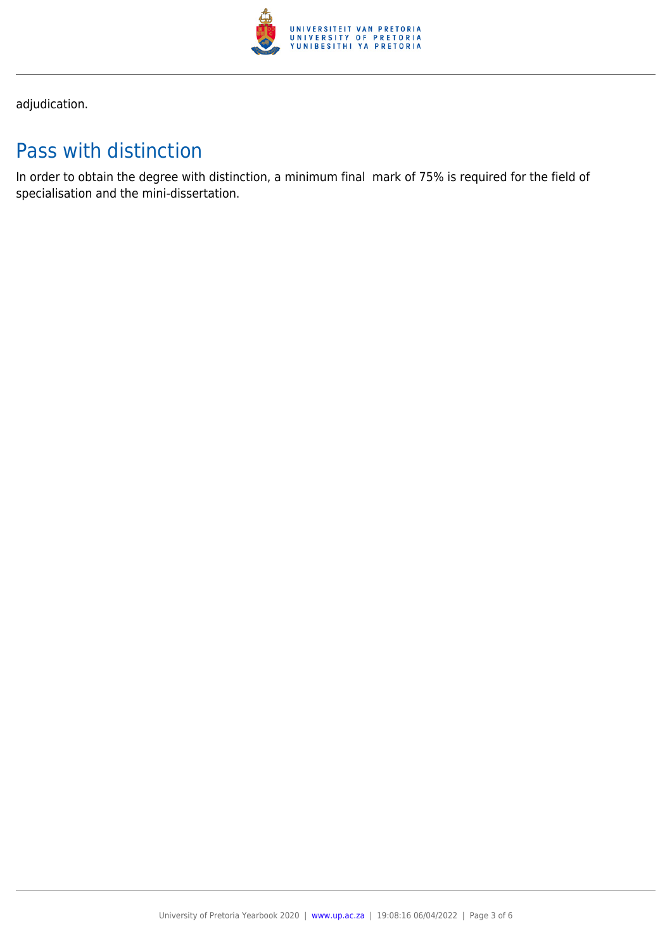

adjudication.

# Pass with distinction

In order to obtain the degree with distinction, a minimum final mark of 75% is required for the field of specialisation and the mini-dissertation.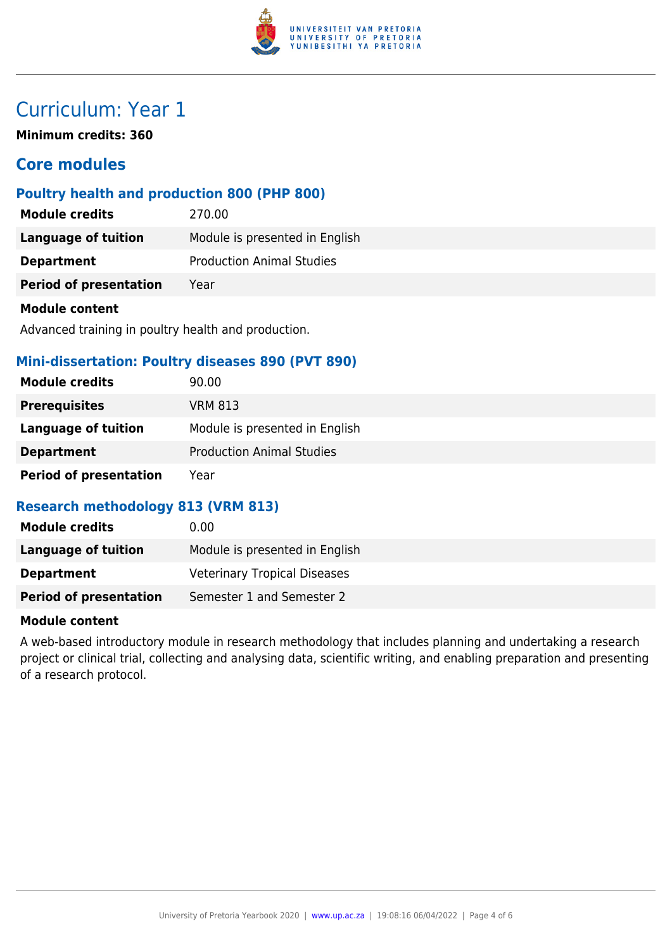

# Curriculum: Year 1

**Minimum credits: 360**

# **Core modules**

### **Poultry health and production 800 (PHP 800)**

| <b>Module credits</b>         | 270.00                           |
|-------------------------------|----------------------------------|
| <b>Language of tuition</b>    | Module is presented in English   |
| <b>Department</b>             | <b>Production Animal Studies</b> |
| <b>Period of presentation</b> | Year                             |
| <b>Module content</b>         |                                  |

Advanced training in poultry health and production.

### **Mini-dissertation: Poultry diseases 890 (PVT 890)**

| <b>Module credits</b>         | 90.00                            |
|-------------------------------|----------------------------------|
| <b>Prerequisites</b>          | VRM 813                          |
| Language of tuition           | Module is presented in English   |
| <b>Department</b>             | <b>Production Animal Studies</b> |
| <b>Period of presentation</b> | Year                             |

### **Research methodology 813 (VRM 813)**

| <b>Module credits</b>         | 0.00                                |
|-------------------------------|-------------------------------------|
| Language of tuition           | Module is presented in English      |
| <b>Department</b>             | <b>Veterinary Tropical Diseases</b> |
| <b>Period of presentation</b> | Semester 1 and Semester 2           |

#### **Module content**

A web-based introductory module in research methodology that includes planning and undertaking a research project or clinical trial, collecting and analysing data, scientific writing, and enabling preparation and presenting of a research protocol.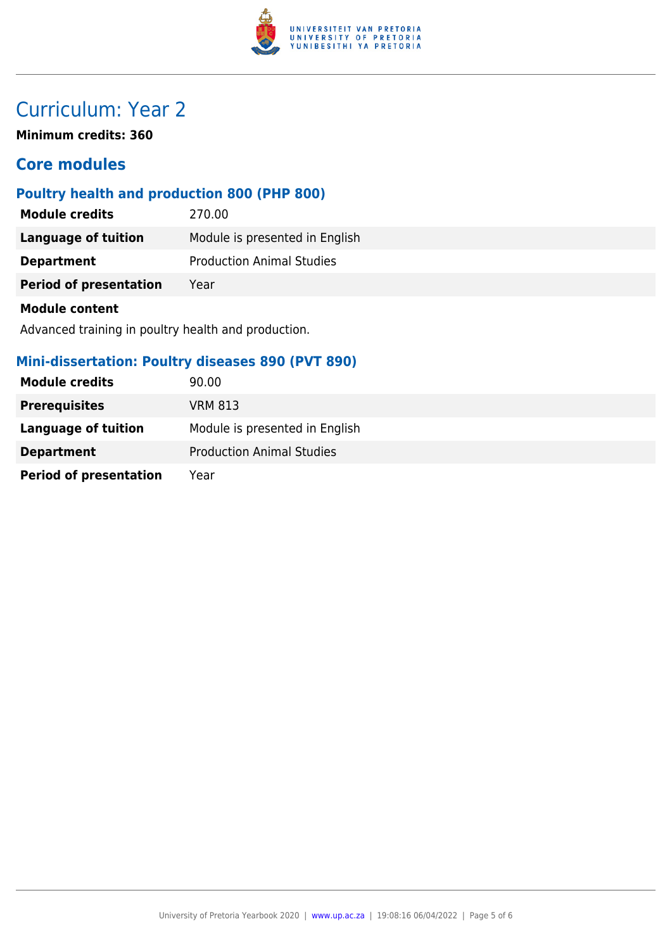

# Curriculum: Year 2

**Minimum credits: 360**

# **Core modules**

## **Poultry health and production 800 (PHP 800)**

| <b>Module credits</b>         | 270.00                           |
|-------------------------------|----------------------------------|
| Language of tuition           | Module is presented in English   |
| <b>Department</b>             | <b>Production Animal Studies</b> |
| <b>Period of presentation</b> | Year                             |
| <b>Module content</b>         |                                  |

Advanced training in poultry health and production.

## **Mini-dissertation: Poultry diseases 890 (PVT 890)**

| <b>Module credits</b>         | 90.00                            |
|-------------------------------|----------------------------------|
| <b>Prerequisites</b>          | VRM 813                          |
| Language of tuition           | Module is presented in English   |
| <b>Department</b>             | <b>Production Animal Studies</b> |
| <b>Period of presentation</b> | Year                             |